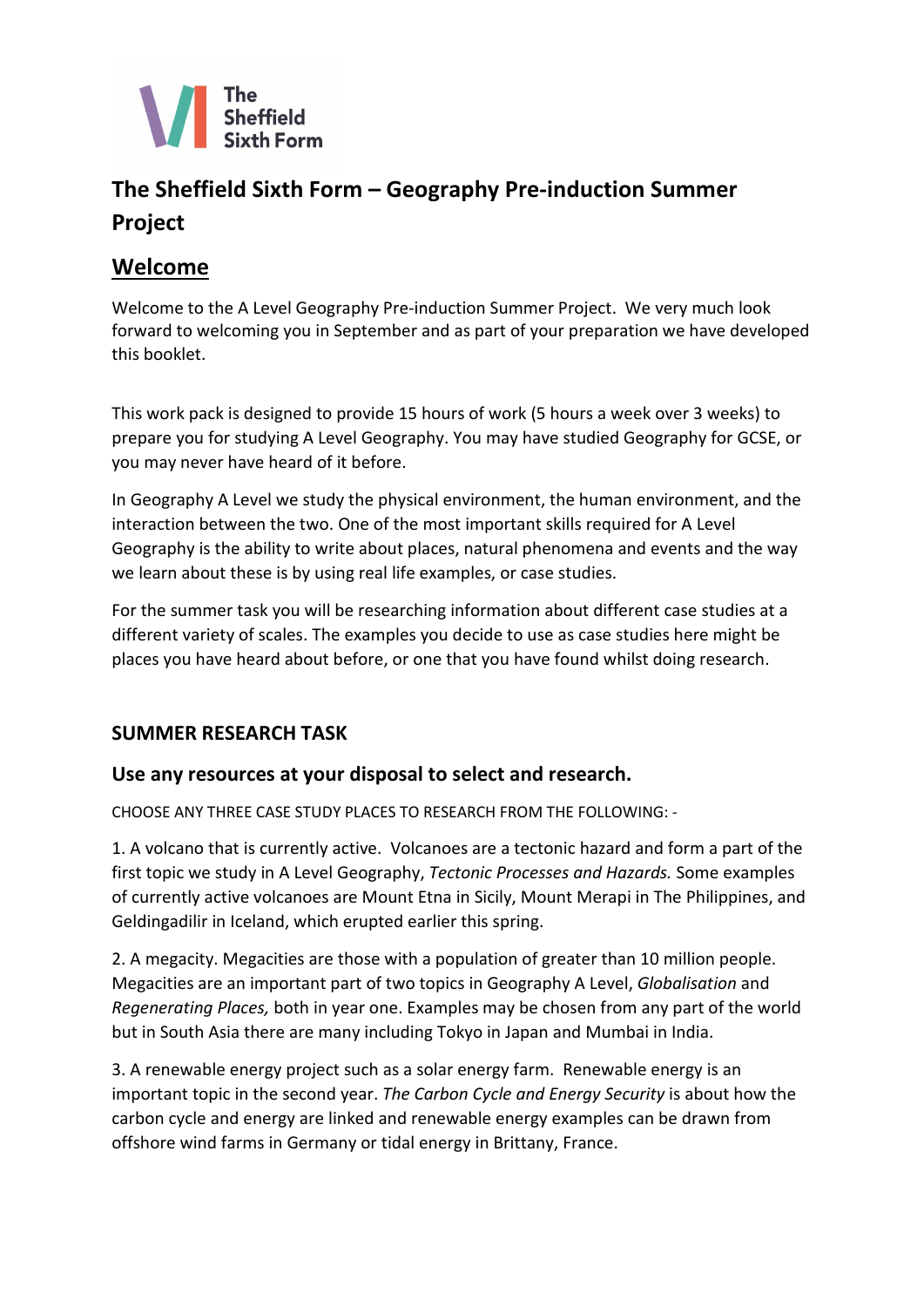

# **The Sheffield Sixth Form – Geography Pre-induction Summer Project**

## **Welcome**

Welcome to the A Level Geography Pre-induction Summer Project. We very much look forward to welcoming you in September and as part of your preparation we have developed this booklet.

This work pack is designed to provide 15 hours of work (5 hours a week over 3 weeks) to prepare you for studying A Level Geography. You may have studied Geography for GCSE, or you may never have heard of it before.

In Geography A Level we study the physical environment, the human environment, and the interaction between the two. One of the most important skills required for A Level Geography is the ability to write about places, natural phenomena and events and the way we learn about these is by using real life examples, or case studies.

For the summer task you will be researching information about different case studies at a different variety of scales. The examples you decide to use as case studies here might be places you have heard about before, or one that you have found whilst doing research.

## **SUMMER RESEARCH TASK**

## **Use any resources at your disposal to select and research.**

CHOOSE ANY THREE CASE STUDY PLACES TO RESEARCH FROM THE FOLLOWING: -

1. A volcano that is currently active. Volcanoes are a tectonic hazard and form a part of the first topic we study in A Level Geography, *Tectonic Processes and Hazards.* Some examples of currently active volcanoes are Mount Etna in Sicily, Mount Merapi in The Philippines, and Geldingadilir in Iceland, which erupted earlier this spring.

2. A megacity. Megacities are those with a population of greater than 10 million people. Megacities are an important part of two topics in Geography A Level, *Globalisation* and *Regenerating Places,* both in year one. Examples may be chosen from any part of the world but in South Asia there are many including Tokyo in Japan and Mumbai in India.

3. A renewable energy project such as a solar energy farm. Renewable energy is an important topic in the second year. *The Carbon Cycle and Energy Security* is about how the carbon cycle and energy are linked and renewable energy examples can be drawn from offshore wind farms in Germany or tidal energy in Brittany, France.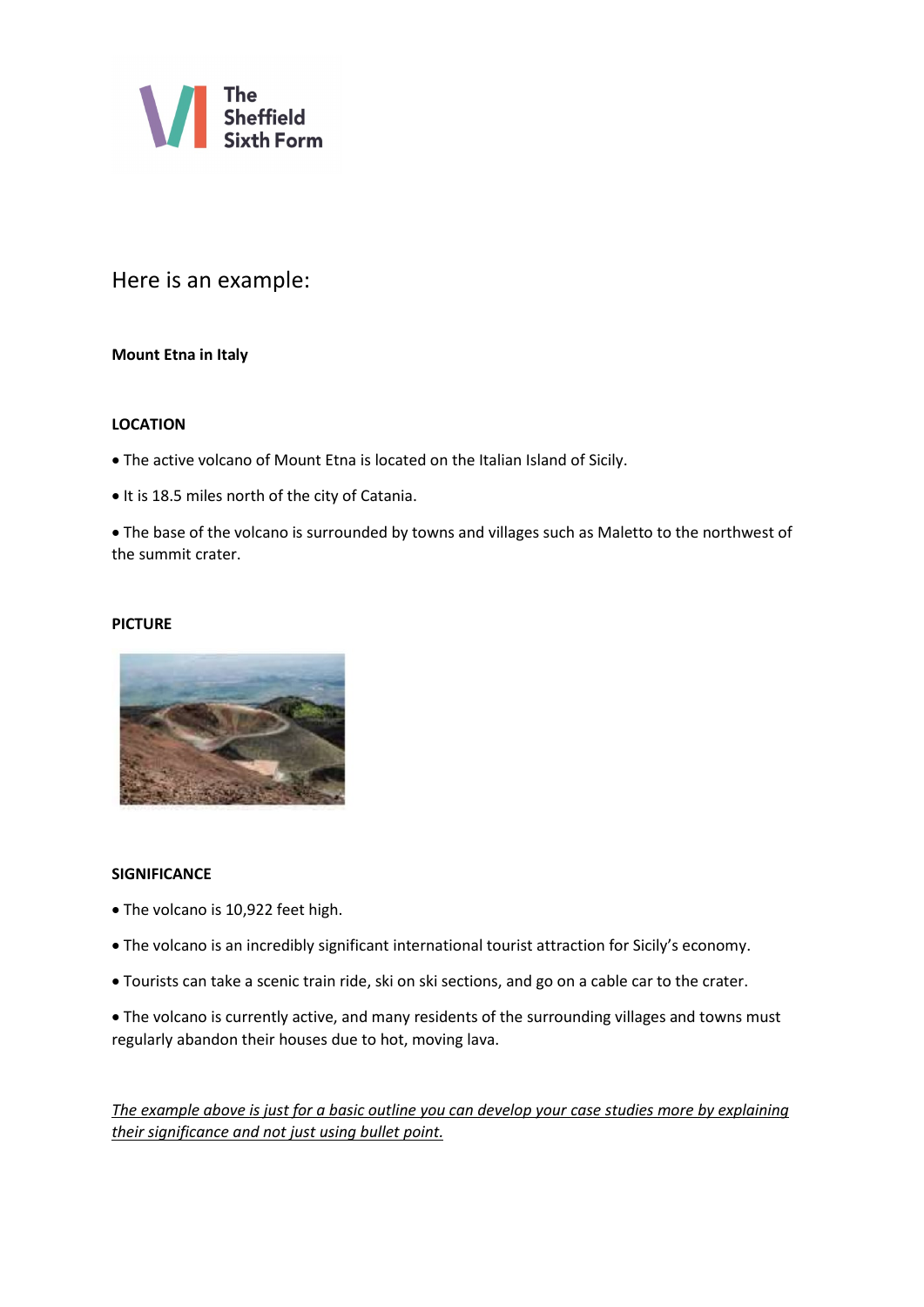

### Here is an example:

#### **Mount Etna in Italy**

#### **LOCATION**

• The active volcano of Mount Etna is located on the Italian Island of Sicily.

• It is 18.5 miles north of the city of Catania.

• The base of the volcano is surrounded by towns and villages such as Maletto to the northwest of the summit crater.

#### **PICTURE**



#### **SIGNIFICANCE**

- The volcano is 10,922 feet high.
- The volcano is an incredibly significant international tourist attraction for Sicily's economy.
- Tourists can take a scenic train ride, ski on ski sections, and go on a cable car to the crater.
- The volcano is currently active, and many residents of the surrounding villages and towns must regularly abandon their houses due to hot, moving lava.

*The example above is just for a basic outline you can develop your case studies more by explaining their significance and not just using bullet point.*